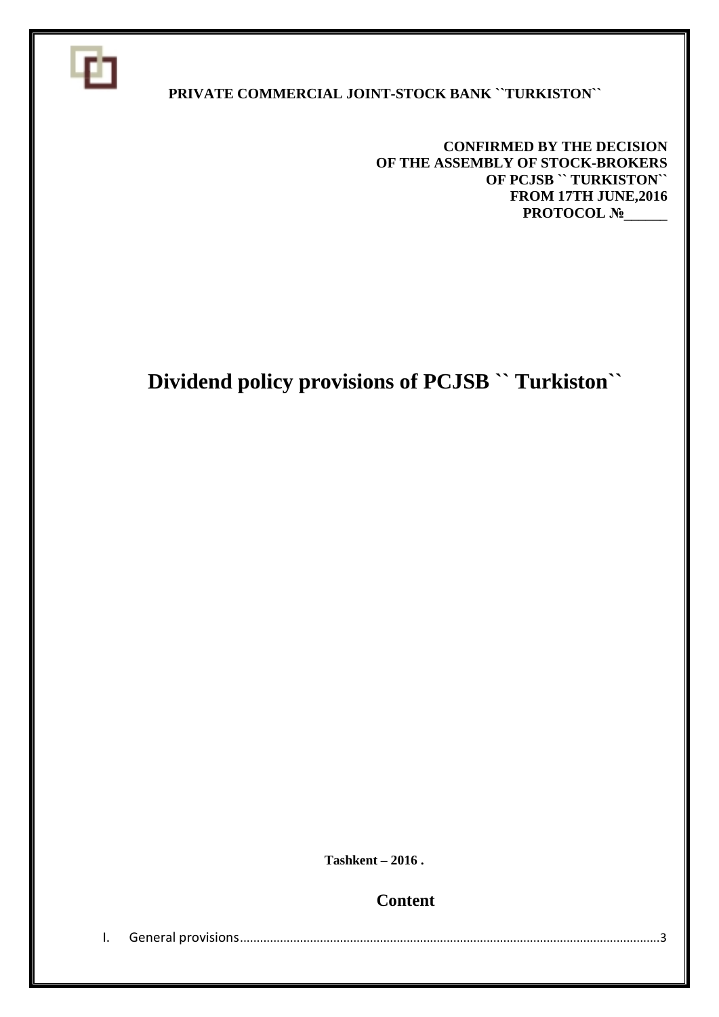

#### **PRIVATE COMMERCIAL JOINT-STOCK BANK ``TURKISTON``**

**CONFIRMED BY THE DECISION OF THE ASSEMBLY OF STOCK-BROKERS OF PCJSB `` TURKISTON`` FROM 17TH JUNE,2016 PROTOCOL №** 

# **Dividend policy provisions of PCJSB `` Turkiston``**

 **Tashkent – 2016 .**

**Content**

I. General provisions..............................................................................................................................3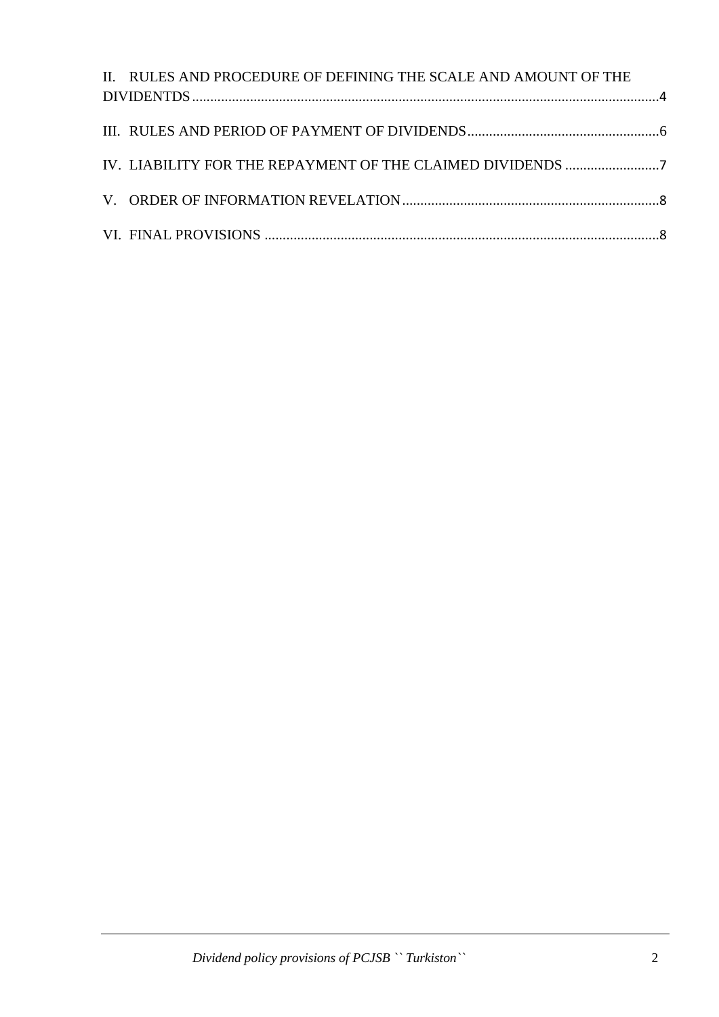| II. RULES AND PROCEDURE OF DEFINING THE SCALE AND AMOUNT OF THE |  |
|-----------------------------------------------------------------|--|
|                                                                 |  |
|                                                                 |  |
|                                                                 |  |
|                                                                 |  |
| IV. LIABILITY FOR THE REPAYMENT OF THE CLAIMED DIVIDENDS 7      |  |
|                                                                 |  |
|                                                                 |  |
|                                                                 |  |
|                                                                 |  |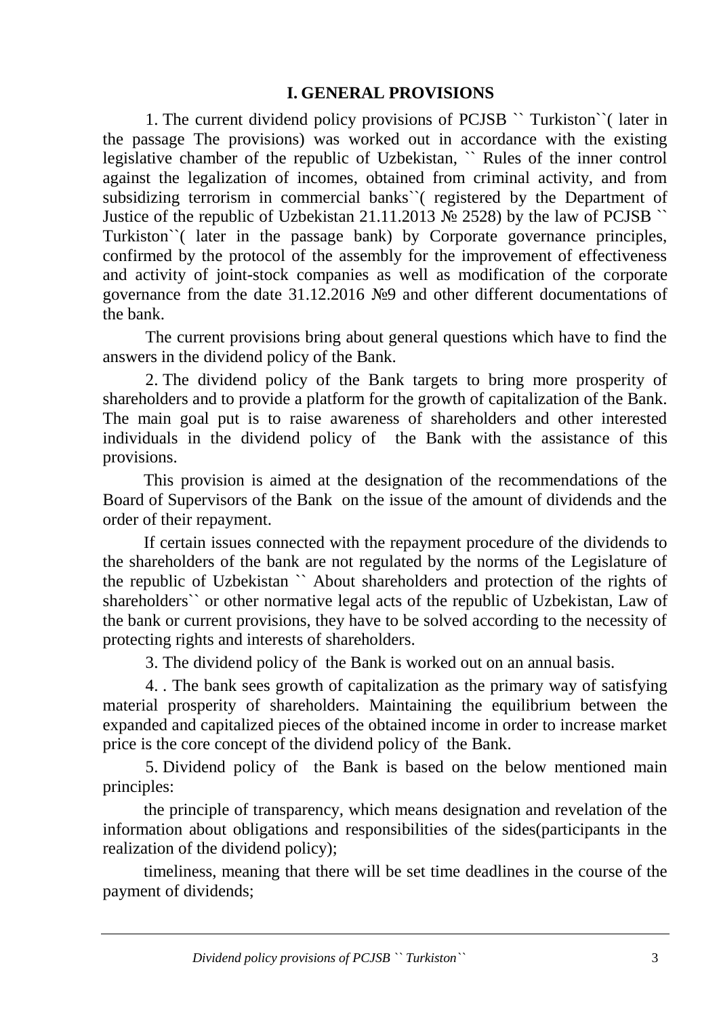#### **I. GENERAL PROVISIONS**

1. The current dividend policy provisions of PCJSB `` Turkiston``( later in the passage The provisions) was worked out in accordance with the existing legislative chamber of the republic of Uzbekistan, `` Rules of the inner control against the legalization of incomes, obtained from criminal activity, and from subsidizing terrorism in commercial banks``( registered by the Department of Justice of the republic of Uzbekistan 21.11.2013  $\mathcal{N}$  2528) by the law of PCJSB  $\degree$ Turkiston``( later in the passage bank) by Corporate governance principles, confirmed by the protocol of the assembly for the improvement of effectiveness and activity of joint-stock companies as well as modification of the corporate governance from the date 31.12.2016 №9 and other different documentations of the bank.

The current provisions bring about general questions which have to find the answers in the dividend policy of the Bank.

2. The dividend policy of the Bank targets to bring more prosperity of shareholders and to provide a platform for the growth of capitalization of the Bank. The main goal put is to raise awareness of shareholders and other interested individuals in the dividend policy of the Bank with the assistance of this provisions.

This provision is aimed at the designation of the recommendations of the Board of Supervisors of the Bank on the issue of the amount of dividends and the order of their repayment.

If certain issues connected with the repayment procedure of the dividends to the shareholders of the bank are not regulated by the norms of the Legislature of the republic of Uzbekistan `` About shareholders and protection of the rights of shareholders`` or other normative legal acts of the republic of Uzbekistan, Law of the bank or current provisions, they have to be solved according to the necessity of protecting rights and interests of shareholders.

3. The dividend policy of the Bank is worked out on an annual basis.

4. . The bank sees growth of capitalization as the primary way of satisfying material prosperity of shareholders. Maintaining the equilibrium between the expanded and capitalized pieces of the obtained income in order to increase market price is the core concept of the dividend policy of the Bank.

5. Dividend policy of the Bank is based on the below mentioned main principles:

the principle of transparency, which means designation and revelation of the information about obligations and responsibilities of the sides(participants in the realization of the dividend policy);

timeliness, meaning that there will be set time deadlines in the course of the payment of dividends;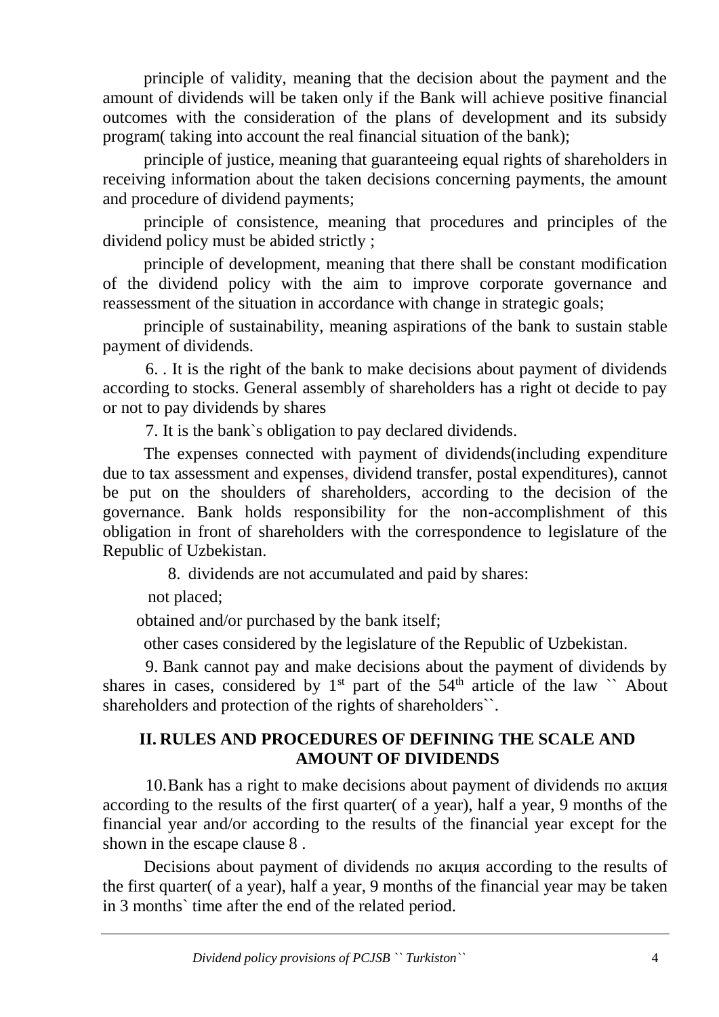principle of validity, meaning that the decision about the payment and the amount of dividends will be taken only if the Bank will achieve positive financial outcomes with the consideration of the plans of development and its subsidy program( taking into account the real financial situation of the bank);

principle of justice, meaning that guaranteeing equal rights of shareholders in receiving information about the taken decisions concerning payments, the amount and procedure of dividend payments;

principle of consistence, meaning that procedures and principles of the dividend policy must be abided strictly ;

principle of development, meaning that there shall be constant modification of the dividend policy with the aim to improve corporate governance and reassessment of the situation in accordance with change in strategic goals;

principle of sustainability, meaning aspirations of the bank to sustain stable payment of dividends.

6. . It is the right of the bank to make decisions about payment of dividends according to stocks. General assembly of shareholders has a right ot decide to pay or not to pay dividends by shares

7. It is the bank`s obligation to pay declared dividends.

The expenses connected with payment of dividends(including expenditure due to tax assessment and expenses, dividend transfer, postal expenditures), cannot be put on the shoulders of shareholders, according to the decision of the governance. Bank holds responsibility for the non-accomplishment of this obligation in front of shareholders with the correspondence to legislature of the Republic of Uzbekistan.

8. dividends are not accumulated and paid by shares:

not placed;

obtained and/or purchased by the bank itself;

other cases considered by the legislature of the Republic of Uzbekistan.

9. Bank cannot pay and make decisions about the payment of dividends by shares in cases, considered by  $1<sup>st</sup>$  part of the 54<sup>th</sup> article of the law  $\sim$  About shareholders and protection of the rights of shareholders``.

#### **II. RULES AND PROCEDURES OF DEFINING THE SCALE AND AMOUNT OF DIVIDENDS**

10.Bank has a right to make decisions about payment of dividends по акция according to the results of the first quarter( of a year), half a year, 9 months of the financial year and/or according to the results of the financial year except for the shown in the escape clause 8 .

Decisions about payment of dividends по акция according to the results of the first quarter( of a year), half a year, 9 months of the financial year may be taken in 3 months` time after the end of the related period.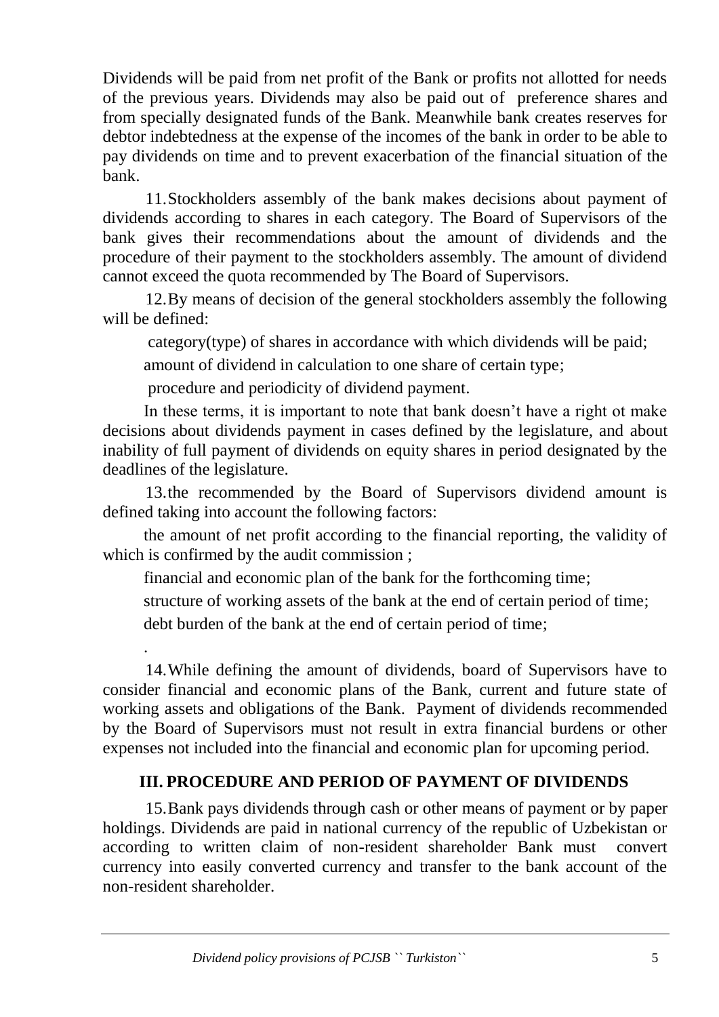Dividends will be paid from net profit of the Bank or profits not allotted for needs of the previous years. Dividends may also be paid out of preference shares and from specially designated funds of the Bank. Meanwhile bank creates reserves for debtor indebtedness at the expense of the incomes of the bank in order to be able to pay dividends on time and to prevent exacerbation of the financial situation of the bank.

11.Stockholders assembly of the bank makes decisions about payment of dividends according to shares in each category. The Board of Supervisors of the bank gives their recommendations about the amount of dividends and the procedure of their payment to the stockholders assembly. The amount of dividend cannot exceed the quota recommended by The Board of Supervisors.

12.By means of decision of the general stockholders assembly the following will be defined:

category(type) of shares in accordance with which dividends will be paid;

amount of dividend in calculation to one share of certain type;

procedure and periodicity of dividend payment.

In these terms, it is important to note that bank doesn't have a right ot make decisions about dividends payment in cases defined by the legislature, and about inability of full payment of dividends on equity shares in period designated by the deadlines of the legislature.

13.the recommended by the Board of Supervisors dividend amount is defined taking into account the following factors:

the amount of net profit according to the financial reporting, the validity of which is confirmed by the audit commission;

financial and economic plan of the bank for the forthcoming time;

structure of working assets of the bank at the end of certain period of time;

debt burden of the bank at the end of certain period of time;

.

14.While defining the amount of dividends, board of Supervisors have to consider financial and economic plans of the Bank, current and future state of working assets and obligations of the Bank. Payment of dividends recommended by the Board of Supervisors must not result in extra financial burdens or other expenses not included into the financial and economic plan for upcoming period.

## **III. PROCEDURE AND PERIOD OF PAYMENT OF DIVIDENDS**

15.Bank pays dividends through cash or other means of payment or by paper holdings. Dividends are paid in national currency of the republic of Uzbekistan or according to written claim of non-resident shareholder Bank must convert currency into easily converted currency and transfer to the bank account of the non-resident shareholder.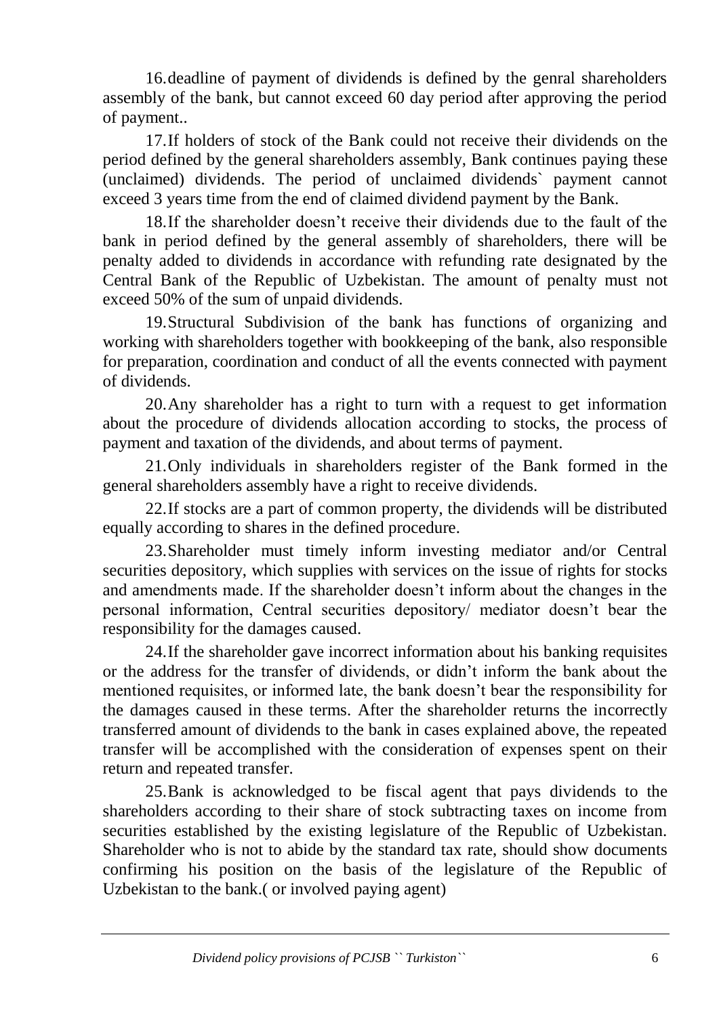16.deadline of payment of dividends is defined by the genral shareholders assembly of the bank, but cannot exceed 60 day period after approving the period of payment..

17.If holders of stock of the Bank could not receive their dividends on the period defined by the general shareholders assembly, Bank continues paying these (unclaimed) dividends. The period of unclaimed dividends` payment cannot exceed 3 years time from the end of claimed dividend payment by the Bank.

18.If the shareholder doesn't receive their dividends due to the fault of the bank in period defined by the general assembly of shareholders, there will be penalty added to dividends in accordance with refunding rate designated by the Central Bank of the Republic of Uzbekistan. The amount of penalty must not exceed 50% of the sum of unpaid dividends.

19.Structural Subdivision of the bank has functions of organizing and working with shareholders together with bookkeeping of the bank, also responsible for preparation, coordination and conduct of all the events connected with payment of dividends.

20.Any shareholder has a right to turn with a request to get information about the procedure of dividends allocation according to stocks, the process of payment and taxation of the dividends, and about terms of payment.

21.Only individuals in shareholders register of the Bank formed in the general shareholders assembly have a right to receive dividends.

22.If stocks are a part of common property, the dividends will be distributed equally according to shares in the defined procedure.

23.Shareholder must timely inform investing mediator and/or Central securities depository, which supplies with services on the issue of rights for stocks and amendments made. If the shareholder doesn't inform about the changes in the personal information, Central securities depository/ mediator doesn't bear the responsibility for the damages caused.

24.If the shareholder gave incorrect information about his banking requisites or the address for the transfer of dividends, or didn't inform the bank about the mentioned requisites, or informed late, the bank doesn't bear the responsibility for the damages caused in these terms. After the shareholder returns the incorrectly transferred amount of dividends to the bank in cases explained above, the repeated transfer will be accomplished with the consideration of expenses spent on their return and repeated transfer.

25.Bank is acknowledged to be fiscal agent that pays dividends to the shareholders according to their share of stock subtracting taxes on income from securities established by the existing legislature of the Republic of Uzbekistan. Shareholder who is not to abide by the standard tax rate, should show documents confirming his position on the basis of the legislature of the Republic of Uzbekistan to the bank.( or involved paying agent)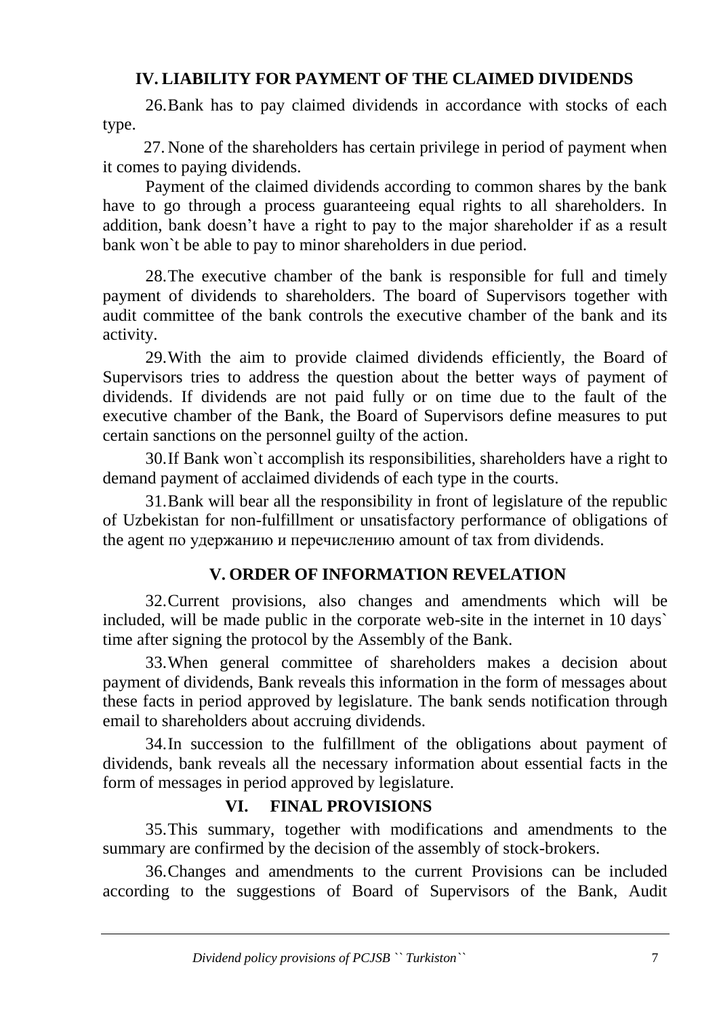## **IV. LIABILITY FOR PAYMENT OF THE CLAIMED DIVIDENDS**

26.Bank has to pay claimed dividends in accordance with stocks of each type.

27. None of the shareholders has certain privilege in period of payment when it comes to paying dividends.

Payment of the claimed dividends according to common shares by the bank have to go through a process guaranteeing equal rights to all shareholders. In addition, bank doesn't have a right to pay to the major shareholder if as a result bank won`t be able to pay to minor shareholders in due period.

28.The executive chamber of the bank is responsible for full and timely payment of dividends to shareholders. The board of Supervisors together with audit committee of the bank controls the executive chamber of the bank and its activity.

29.With the aim to provide claimed dividends efficiently, the Board of Supervisors tries to address the question about the better ways of payment of dividends. If dividends are not paid fully or on time due to the fault of the executive chamber of the Bank, the Board of Supervisors define measures to put certain sanctions on the personnel guilty of the action.

30.If Bank won`t accomplish its responsibilities, shareholders have a right to demand payment of acclaimed dividends of each type in the courts.

31.Bank will bear all the responsibility in front of legislature of the republic of Uzbekistan for non-fulfillment or unsatisfactory performance of obligations of the agent по удержанию и перечислению amount of tax from dividends.

## **V. ORDER OF INFORMATION REVELATION**

32.Current provisions, also changes and amendments which will be included, will be made public in the corporate web-site in the internet in 10 days` time after signing the protocol by the Assembly of the Bank.

33.When general committee of shareholders makes a decision about payment of dividends, Bank reveals this information in the form of messages about these facts in period approved by legislature. The bank sends notification through email to shareholders about accruing dividends.

34.In succession to the fulfillment of the obligations about payment of dividends, bank reveals all the necessary information about essential facts in the form of messages in period approved by legislature.

## **VI. FINAL PROVISIONS**

35.This summary, together with modifications and amendments to the summary are confirmed by the decision of the assembly of stock-brokers.

36.Changes and amendments to the current Provisions can be included according to the suggestions of Board of Supervisors of the Bank, Audit